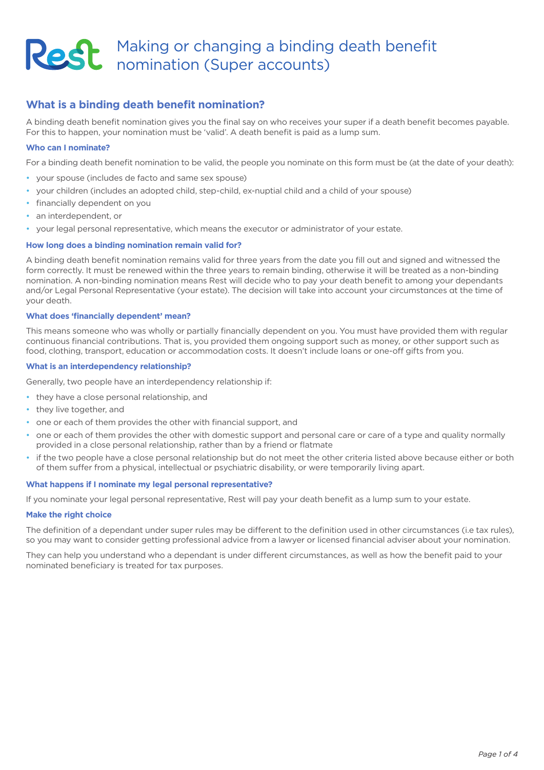# Making or changing a binding death benefit nomination (Super accounts)

# **What is a binding death benefit nomination?**

A binding death benefit nomination gives you the final say on who receives your super if a death benefit becomes payable. For this to happen, your nomination must be 'valid'. A death benefit is paid as a lump sum.

## **Who can I nominate?**

For a binding death benefit nomination to be valid, the people you nominate on this form must be (at the date of your death):

- your spouse (includes de facto and same sex spouse)
- your children (includes an adopted child, step-child, ex-nuptial child and a child of your spouse)
- financially dependent on you
- an interdependent, or
- your legal personal representative, which means the executor or administrator of your estate.

# **How long does a binding nomination remain valid for?**

A binding death benefit nomination remains valid for three years from the date you fill out and signed and witnessed the form correctly. It must be renewed within the three years to remain binding, otherwise it will be treated as a non-binding nomination. A non-binding nomination means Rest will decide who to pay your death benefit to among your dependants and/or Legal Personal Representative (your estate). The decision will take into account your circumstances at the time of your death.

# **What does 'financially dependent' mean?**

This means someone who was wholly or partially financially dependent on you. You must have provided them with regular continuous financial contributions. That is, you provided them ongoing support such as money, or other support such as food, clothing, transport, education or accommodation costs. It doesn't include loans or one-off gifts from you.

### **What is an interdependency relationship?**

Generally, two people have an interdependency relationship if:

- they have a close personal relationship, and
- they live together, and
- one or each of them provides the other with financial support, and
- one or each of them provides the other with domestic support and personal care or care of a type and quality normally provided in a close personal relationship, rather than by a friend or flatmate
- if the two people have a close personal relationship but do not meet the other criteria listed above because either or both of them suffer from a physical, intellectual or psychiatric disability, or were temporarily living apart.

#### **What happens if I nominate my legal personal representative?**

If you nominate your legal personal representative, Rest will pay your death benefit as a lump sum to your estate.

#### **Make the right choice**

The definition of a dependant under super rules may be different to the definition used in other circumstances (i.e tax rules), so you may want to consider getting professional advice from a lawyer or licensed financial adviser about your nomination.

They can help you understand who a dependant is under different circumstances, as well as how the benefit paid to your nominated beneficiary is treated for tax purposes.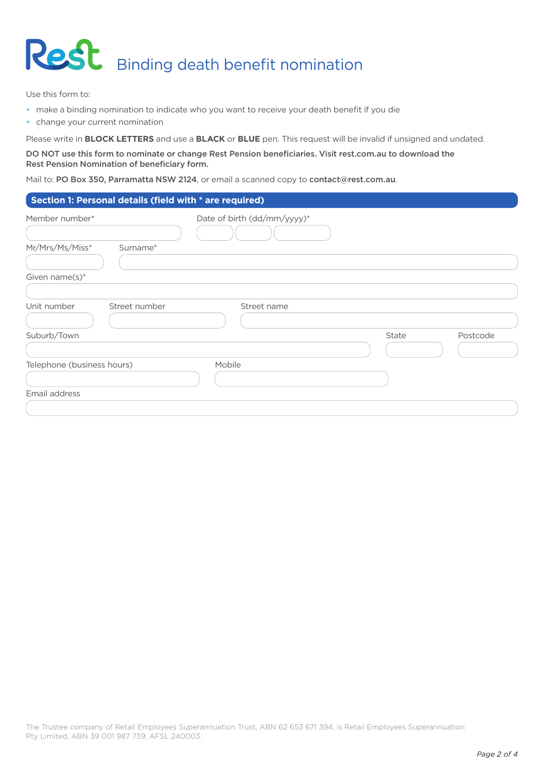

Use this form to:

- make a binding nomination to indicate who you want to receive your death benefit if you die
- change your current nomination

Please write in **BLOCK LETTERS** and use a **BLACK** or **BLUE** pen. This request will be invalid if unsigned and undated.

DO NOT use this form to nominate or change Rest Pension beneficiaries. Visit [rest.com.au](http://www.rest.com.au) to download the Rest Pension Nomination of beneficiary form.

Mail to: PO Box 350, Parramatta NSW 2124, or email a scanned copy to [contact@rest.com.au](mailto:contact%40rest.com.au?subject=).

| Member number*               | Date of birth (dd/mm/yyyy)* |       |          |
|------------------------------|-----------------------------|-------|----------|
|                              |                             |       |          |
| Mr/Mrs/Ms/Miss*<br>Surname*  |                             |       |          |
|                              |                             |       |          |
| Given name(s)*               |                             |       |          |
|                              |                             |       |          |
| Unit number<br>Street number | Street name                 |       |          |
|                              |                             |       |          |
| Suburb/Town                  |                             | State | Postcode |
|                              |                             |       |          |
| Telephone (business hours)   | Mobile                      |       |          |
|                              |                             |       |          |
| Email address                |                             |       |          |
|                              |                             |       |          |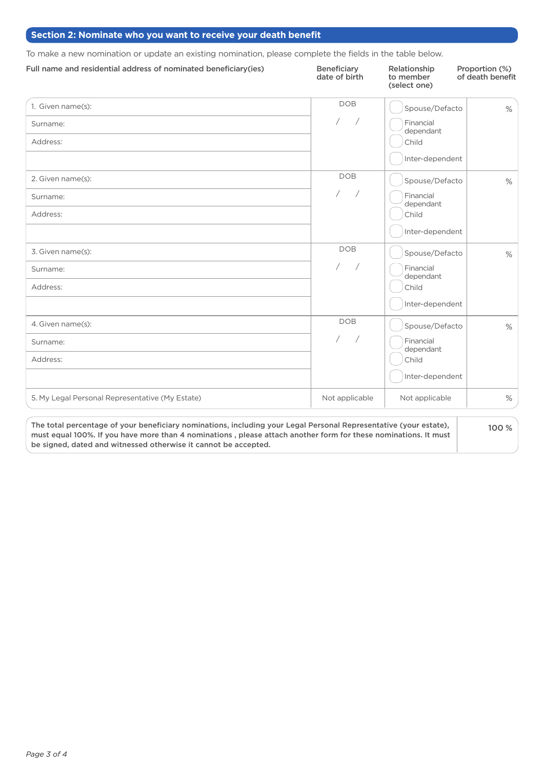# **Section 2: Nominate who you want to receive your death benefit**

To make a new nomination or update an existing nomination, please complete the fields in the table below.

| Full name and residential address of nominated beneficiary (ies)                                                                                                                                                                     | <b>Beneficiary</b><br>date of birth | Relationship<br>to member<br>(select one) | Proportion (%)<br>of death benefit |
|--------------------------------------------------------------------------------------------------------------------------------------------------------------------------------------------------------------------------------------|-------------------------------------|-------------------------------------------|------------------------------------|
| 1. Given name(s):                                                                                                                                                                                                                    | <b>DOB</b>                          | Spouse/Defacto                            | $\%$                               |
| Surname:                                                                                                                                                                                                                             | $\overline{ }$                      | Financial<br>dependant                    |                                    |
| Address:                                                                                                                                                                                                                             |                                     | Child                                     |                                    |
|                                                                                                                                                                                                                                      |                                     | Inter-dependent                           |                                    |
| 2. Given name(s):                                                                                                                                                                                                                    | <b>DOB</b>                          | Spouse/Defacto                            | $\%$                               |
| Surname:                                                                                                                                                                                                                             | $\sqrt{2}$                          | Financial<br>dependant                    |                                    |
| Address:                                                                                                                                                                                                                             |                                     | Child                                     |                                    |
|                                                                                                                                                                                                                                      |                                     | Inter-dependent                           |                                    |
| 3. Given name(s):                                                                                                                                                                                                                    | <b>DOB</b>                          | Spouse/Defacto                            | $\%$                               |
| Surname:                                                                                                                                                                                                                             | $\sqrt{2}$                          | Financial<br>dependant                    |                                    |
| Address:                                                                                                                                                                                                                             |                                     | Child                                     |                                    |
|                                                                                                                                                                                                                                      |                                     | Inter-dependent                           |                                    |
| 4. Given name(s):                                                                                                                                                                                                                    | <b>DOB</b>                          | Spouse/Defacto                            | $\%$                               |
| Surname:                                                                                                                                                                                                                             | $\overline{1}$                      | Financial<br>dependant                    |                                    |
| Address:                                                                                                                                                                                                                             |                                     | Child                                     |                                    |
|                                                                                                                                                                                                                                      |                                     | Inter-dependent                           |                                    |
| 5. My Legal Personal Representative (My Estate)                                                                                                                                                                                      | Not applicable                      | Not applicable                            | $\%$                               |
| The total percentage of your beneficiary nominations, including your Legal Personal Representative (your estate),<br>must equal 100%. If you have more than 4 nominations, please attach another form for these nominations. It must |                                     |                                           | 100 %                              |

be signed, dated and witnessed otherwise it cannot be accepted.